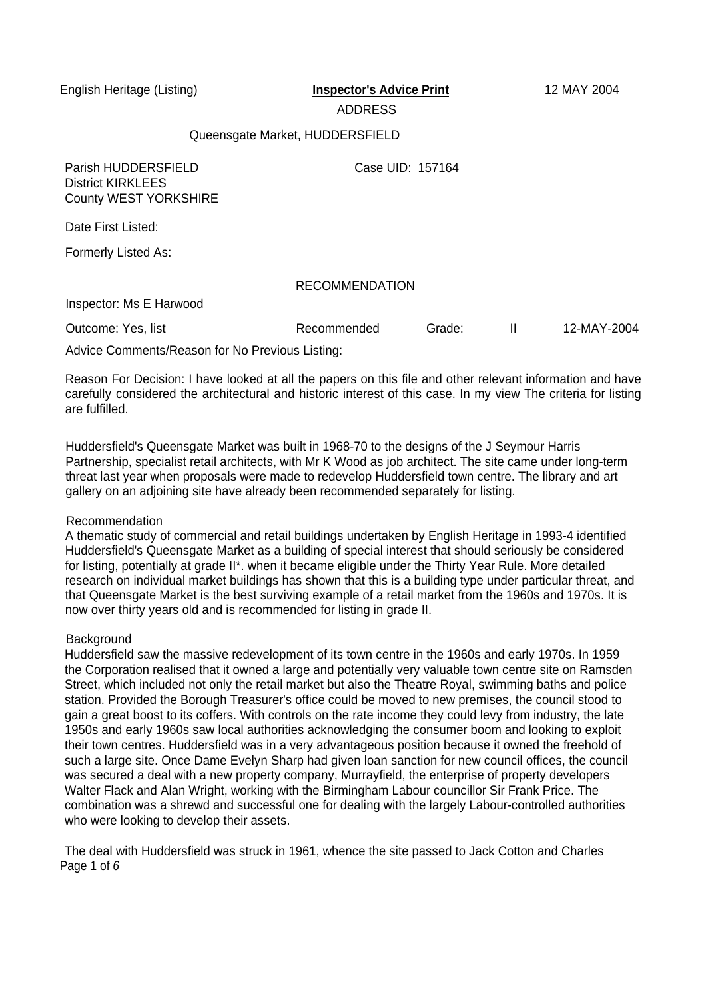### ADDRESS

### Queensgate Market, HUDDERSFIELD

Parish HUDDERSFIELD Case UID: 157164 District KIRKLEES County WEST YORKSHIRE

Date First Listed:

Formerly Listed As:

## RECOMMENDATION

Inspector: Ms E Harwood

Outcome: Yes, list The Recommended Grade: II 12-MAY-2004

Advice Comments/Reason for No Previous Listing:

Reason For Decision: I have looked at all the papers on this file and other relevant information and have carefully considered the architectural and historic interest of this case. In my view The criteria for listing are fulfilled.

Huddersfield's Queensgate Market was built in 1968-70 to the designs of the J Seymour Harris Partnership, specialist retail architects, with Mr K Wood as job architect. The site came under long-term threat last year when proposals were made to redevelop Huddersfield town centre. The library and art gallery on an adjoining site have already been recommended separately for listing.

## Recommendation

A thematic study of commercial and retail buildings undertaken by English Heritage in 1993-4 identified Huddersfield's Queensgate Market as a building of special interest that should seriously be considered for listing, potentially at grade II\*. when it became eligible under the Thirty Year Rule. More detailed research on individual market buildings has shown that this is a building type under particular threat, and that Queensgate Market is the best surviving example of a retail market from the 1960s and 1970s. It is now over thirty years old and is recommended for listing in grade II.

#### **Background**

Huddersfield saw the massive redevelopment of its town centre in the 1960s and early 1970s. In 1959 the Corporation realised that it owned a large and potentially very valuable town centre site on Ramsden Street, which included not only the retail market but also the Theatre Royal, swimming baths and police station. Provided the Borough Treasurer's office could be moved to new premises, the council stood to gain a great boost to its coffers. With controls on the rate income they could levy from industry, the late 1950s and early 1960s saw local authorities acknowledging the consumer boom and looking to exploit their town centres. Huddersfield was in a very advantageous position because it owned the freehold of such a large site. Once Dame Evelyn Sharp had given loan sanction for new council offices, the council was secured a deal with a new property company, Murrayfield, the enterprise of property developers Walter Flack and Alan Wright, working with the Birmingham Labour councillor Sir Frank Price. The combination was a shrewd and successful one for dealing with the largely Labour-controlled authorities who were looking to develop their assets.

The deal with Huddersfield was struck in 1961, whence the site passed to Jack Cotton and Charles Page 1 of 6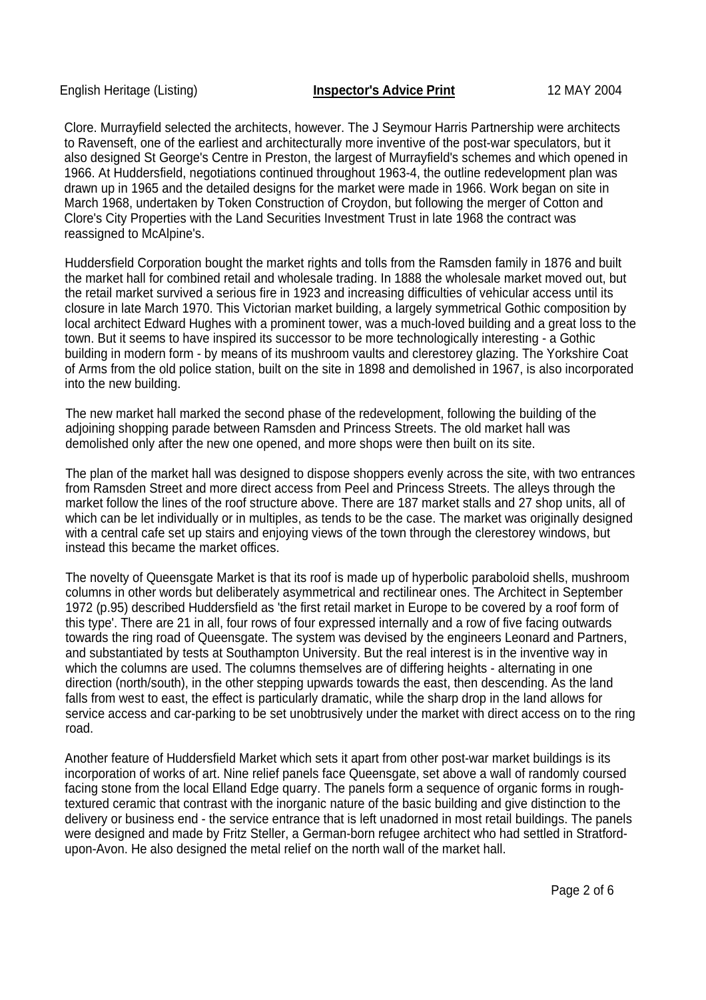Clore. Murrayfield selected the architects, however. The J Seymour Harris Partnership were architects to Ravenseft, one of the earliest and architecturally more inventive of the post-war speculators, but it also designed St George's Centre in Preston, the largest of Murrayfield's schemes and which opened in 1966. At Huddersfield, negotiations continued throughout 1963-4, the outline redevelopment plan was drawn up in 1965 and the detailed designs for the market were made in 1966. Work began on site in March 1968, undertaken by Token Construction of Croydon, but following the merger of Cotton and Clore's City Properties with the Land Securities Investment Trust in late 1968 the contract was reassigned to McAlpine's.

Huddersfield Corporation bought the market rights and tolls from the Ramsden family in 1876 and built the market hall for combined retail and wholesale trading. In 1888 the wholesale market moved out, but the retail market survived a serious fire in 1923 and increasing difficulties of vehicular access until its closure in late March 1970. This Victorian market building, a largely symmetrical Gothic composition by local architect Edward Hughes with a prominent tower, was a much-loved building and a great loss to the town. But it seems to have inspired its successor to be more technologically interesting - a Gothic building in modern form - by means of its mushroom vaults and clerestorey glazing. The Yorkshire Coat of Arms from the old police station, built on the site in 1898 and demolished in 1967, is also incorporated into the new building.

The new market hall marked the second phase of the redevelopment, following the building of the adjoining shopping parade between Ramsden and Princess Streets. The old market hall was demolished only after the new one opened, and more shops were then built on its site.

The plan of the market hall was designed to dispose shoppers evenly across the site, with two entrances from Ramsden Street and more direct access from Peel and Princess Streets. The alleys through the market follow the lines of the roof structure above. There are 187 market stalls and 27 shop units, all of which can be let individually or in multiples, as tends to be the case. The market was originally designed with a central cafe set up stairs and enjoying views of the town through the clerestorey windows, but instead this became the market offices.

The novelty of Queensgate Market is that its roof is made up of hyperbolic paraboloid shells, mushroom columns in other words but deliberately asymmetrical and rectilinear ones. The Architect in September 1972 (p.95) described Huddersfield as 'the first retail market in Europe to be covered by a roof form of this type'. There are 21 in all, four rows of four expressed internally and a row of five facing outwards towards the ring road of Queensgate. The system was devised by the engineers Leonard and Partners, and substantiated by tests at Southampton University. But the real interest is in the inventive way in which the columns are used. The columns themselves are of differing heights - alternating in one direction (north/south), in the other stepping upwards towards the east, then descending. As the land falls from west to east, the effect is particularly dramatic, while the sharp drop in the land allows for service access and car-parking to be set unobtrusively under the market with direct access on to the ring road.

Another feature of Huddersfield Market which sets it apart from other post-war market buildings is its incorporation of works of art. Nine relief panels face Queensgate, set above a wall of randomly coursed facing stone from the local Elland Edge quarry. The panels form a sequence of organic forms in roughtextured ceramic that contrast with the inorganic nature of the basic building and give distinction to the delivery or business end - the service entrance that is left unadorned in most retail buildings. The panels were designed and made by Fritz Steller, a German-born refugee architect who had settled in Stratfordupon-Avon. He also designed the metal relief on the north wall of the market hall.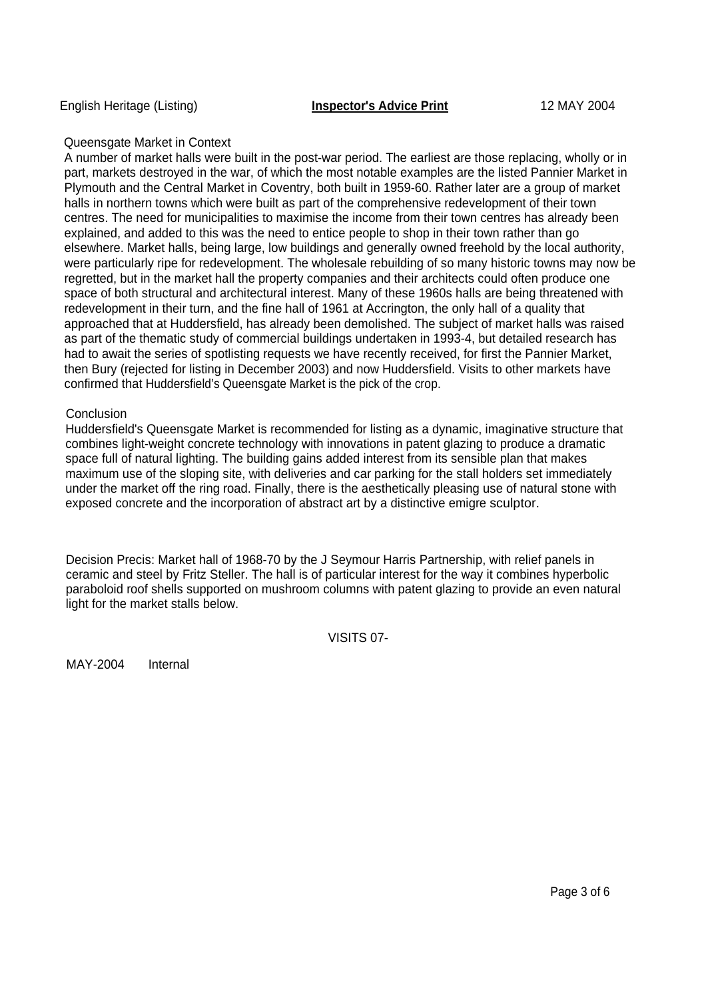# Queensgate Market in Context

A number of market halls were built in the post-war period. The earliest are those replacing, wholly or in part, markets destroyed in the war, of which the most notable examples are the listed Pannier Market in Plymouth and the Central Market in Coventry, both built in 1959-60. Rather later are a group of market halls in northern towns which were built as part of the comprehensive redevelopment of their town centres. The need for municipalities to maximise the income from their town centres has already been explained, and added to this was the need to entice people to shop in their town rather than go elsewhere. Market halls, being large, low buildings and generally owned freehold by the local authority, were particularly ripe for redevelopment. The wholesale rebuilding of so many historic towns may now be regretted, but in the market hall the property companies and their architects could often produce one space of both structural and architectural interest. Many of these 1960s halls are being threatened with redevelopment in their turn, and the fine hall of 1961 at Accrington, the only hall of a quality that approached that at Huddersfield, has already been demolished. The subject of market halls was raised as part of the thematic study of commercial buildings undertaken in 1993-4, but detailed research has had to await the series of spotlisting requests we have recently received, for first the Pannier Market, then Bury (rejected for listing in December 2003) and now Huddersfield. Visits to other markets have confirmed that Huddersfield's Queensgate Market is the pick of the crop.

## Conclusion

Huddersfield's Queensgate Market is recommended for listing as a dynamic, imaginative structure that combines light-weight concrete technology with innovations in patent glazing to produce a dramatic space full of natural lighting. The building gains added interest from its sensible plan that makes maximum use of the sloping site, with deliveries and car parking for the stall holders set immediately under the market off the ring road. Finally, there is the aesthetically pleasing use of natural stone with exposed concrete and the incorporation of abstract art by a distinctive emigre sculptor.

Decision Precis: Market hall of 1968-70 by the J Seymour Harris Partnership, with relief panels in ceramic and steel by Fritz Steller. The hall is of particular interest for the way it combines hyperbolic paraboloid roof shells supported on mushroom columns with patent glazing to provide an even natural light for the market stalls below.

VISITS 07-

MAY-2004 Internal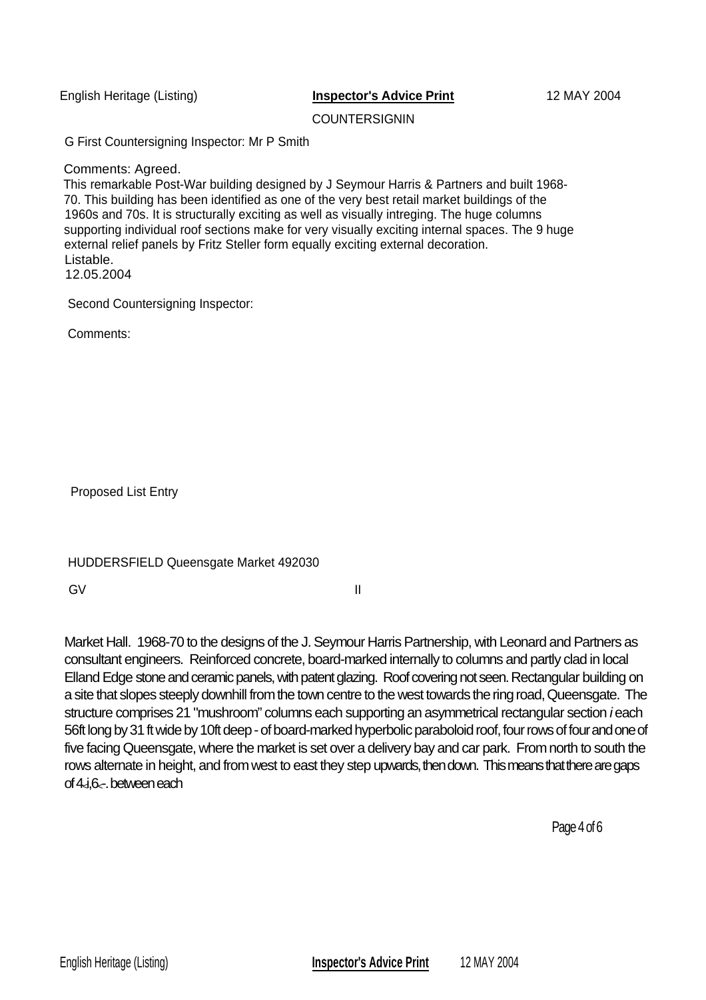**COUNTERSIGNIN** 

G First Countersigning Inspector: Mr P Smith

Comments: Agreed.

This remarkable Post-War building designed by J Seymour Harris & Partners and built 1968- 70. This building has been identified as one of the very best retail market buildings of the 1960s and 70s. It is structurally exciting as well as visually intreging. The huge columns supporting individual roof sections make for very visually exciting internal spaces. The 9 huge external relief panels by Fritz Steller form equally exciting external decoration. Listable.

12.05.2004

Second Countersigning Inspector:

Comments:

Proposed List Entry

| HUDDERSFIELD Queensgate Market 492030 |  |
|---------------------------------------|--|
|---------------------------------------|--|

GV II

Market Hall. 1968-70 to the designs of the J. Seymour Harris Partnership, with Leonard and Partners as consultant engineers. Reinforced concrete, board-marked internally to columns and partly clad in local Elland Edge stone and ceramic panels, with patent glazing. Roof covering not seen. Rectangular building on a site that slopes steeply downhill from the town centre to the west towards the ring road, Queensgate. The structure comprises 21 "mushroom" columns each supporting an asymmetrical rectangular section *i* each 56ft long by 31 ft wide by 10ft deep - of board-marked hyperbolic paraboloid roof, four rows of four and one of five facing Queensgate, where the market is set over a delivery bay and car park. From north to south the rows alternate in height, and from west to east they step upwards, then down. This means that there are gaps of 4<i,6<-. between each

Page 4 of 6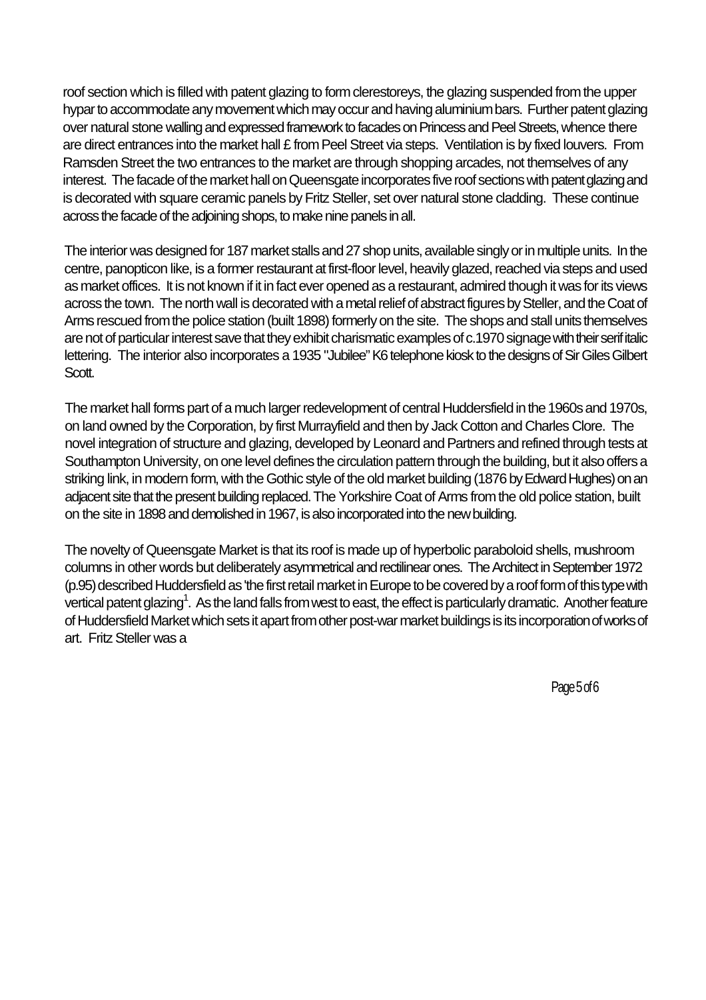roof section which is filled with patent glazing to form clerestoreys, the glazing suspended from the upper hypar to accommodate any movement which may occur and having aluminium bars. Further patent glazing over natural stone walling and expressed framework to facades on Princess and Peel Streets, whence there are direct entrances into the market hall £ from Peel Street via steps. Ventilation is by fixed louvers. From Ramsden Street the two entrances to the market are through shopping arcades, not themselves of any interest. The facade of the market hall on Queensgate incorporates five roof sections with patent glazing and is decorated with square ceramic panels by Fritz Steller, set over natural stone cladding. These continue across the facade of the adjoining shops, to make nine panels in all.

The interior was designed for 187 market stalls and 27 shop units, available singly or in multiple units. In the centre, panopticon like, is a former restaurant at first-floor level, heavily glazed, reached via steps and used as market offices. It is not known if it in fact ever opened as a restaurant, admired though it was for its views across the town. The north wall is decorated with a metal relief of abstract figures by Steller, and the Coat of Arms rescued from the police station (built 1898) formerly on the site. The shops and stall units themselves are not of particular interest save that they exhibit charismatic examples of c.1970 signage with their serif italic lettering. The interior also incorporates a 1935 "Jubilee" K6 telephone kiosk to the designs of Sir Giles Gilbert Scott.

The market hall forms part of a much larger redevelopment of central Huddersfield in the 1960s and 1970s, on land owned by the Corporation, by first Murrayfield and then by Jack Cotton and Charles Clore. The novel integration of structure and glazing, developed by Leonard and Partners and refined through tests at Southampton University, on one level defines the circulation pattern through the building, but it also offers a striking link, in modern form, with the Gothic style of the old market building (1876 by Edward Hughes) on an adjacent site that the present building replaced. The Yorkshire Coat of Arms from the old police station, built on the site in 1898 and demolished in 1967, is also incorporated into the new building.

The novelty of Queensgate Market is that its roof is made up of hyperbolic paraboloid shells, mushroom columns in other words but deliberately asymmetrical and rectilinear ones. The Architect in September 1972 (p.95) described Huddersfield as 'the first retail market in Europe to be covered by a roof form of this type with vertical patent glazing<sup>1</sup>. As the land falls from west to east, the effect is particularly dramatic. Another feature of Huddersfield Market which sets it apart from other post-war market buildings is its incorporation of works of art. Fritz Steller was a

Page 5 of 6